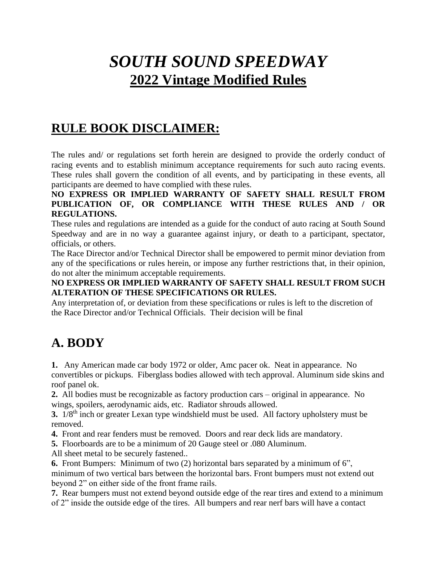# *SOUTH SOUND SPEEDWAY*  **2022 Vintage Modified Rules**

# **RULE BOOK DISCLAIMER:**

The rules and/ or regulations set forth herein are designed to provide the orderly conduct of racing events and to establish minimum acceptance requirements for such auto racing events. These rules shall govern the condition of all events, and by participating in these events, all participants are deemed to have complied with these rules.

#### **NO EXPRESS OR IMPLIED WARRANTY OF SAFETY SHALL RESULT FROM PUBLICATION OF, OR COMPLIANCE WITH THESE RULES AND / OR REGULATIONS.**

These rules and regulations are intended as a guide for the conduct of auto racing at South Sound Speedway and are in no way a guarantee against injury, or death to a participant, spectator, officials, or others.

The Race Director and/or Technical Director shall be empowered to permit minor deviation from any of the specifications or rules herein, or impose any further restrictions that, in their opinion, do not alter the minimum acceptable requirements.

#### **NO EXPRESS OR IMPLIED WARRANTY OF SAFETY SHALL RESULT FROM SUCH ALTERATION OF THESE SPECIFICATIONS OR RULES.**

Any interpretation of, or deviation from these specifications or rules is left to the discretion of the Race Director and/or Technical Officials. Their decision will be final

# **A. BODY**

**1.** Any American made car body 1972 or older, Amc pacer ok. Neat in appearance. No convertibles or pickups. Fiberglass bodies allowed with tech approval. Aluminum side skins and roof panel ok.

**2.** All bodies must be recognizable as factory production cars – original in appearance. No wings, spoilers, aerodynamic aids, etc. Radiator shrouds allowed.

**3.** 1/8th inch or greater Lexan type windshield must be used. All factory upholstery must be removed.

**4.** Front and rear fenders must be removed. Doors and rear deck lids are mandatory.

**5.** Floorboards are to be a minimum of 20 Gauge steel or .080 Aluminum.

All sheet metal to be securely fastened..

**6.** Front Bumpers: Minimum of two (2) horizontal bars separated by a minimum of 6", minimum of two vertical bars between the horizontal bars. Front bumpers must not extend out beyond 2" on either side of the front frame rails.

**7.** Rear bumpers must not extend beyond outside edge of the rear tires and extend to a minimum of 2" inside the outside edge of the tires. All bumpers and rear nerf bars will have a contact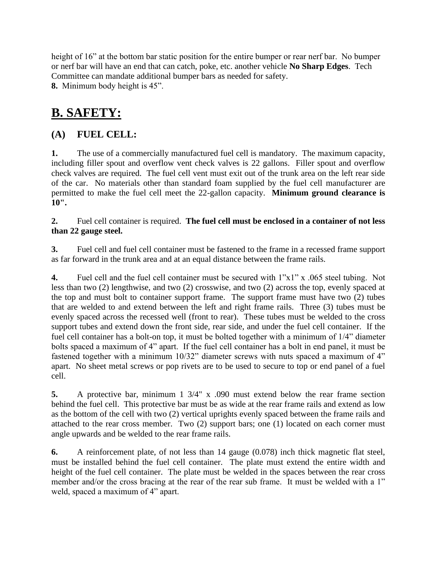height of 16" at the bottom bar static position for the entire bumper or rear nerf bar. No bumper or nerf bar will have an end that can catch, poke, etc. another vehicle **No Sharp Edges**. Tech Committee can mandate additional bumper bars as needed for safety. **8.** Minimum body height is 45".

### **B. SAFETY:**

### **(A) FUEL CELL:**

**1.** The use of a commercially manufactured fuel cell is mandatory. The maximum capacity, including filler spout and overflow vent check valves is 22 gallons. Filler spout and overflow check valves are required. The fuel cell vent must exit out of the trunk area on the left rear side of the car. No materials other than standard foam supplied by the fuel cell manufacturer are permitted to make the fuel cell meet the 22-gallon capacity. **Minimum ground clearance is 10".**

#### **2.** Fuel cell container is required. **The fuel cell must be enclosed in a container of not less than 22 gauge steel.**

**3.** Fuel cell and fuel cell container must be fastened to the frame in a recessed frame support as far forward in the trunk area and at an equal distance between the frame rails.

**4.** Fuel cell and the fuel cell container must be secured with 1"x1" x .065 steel tubing. Not less than two (2) lengthwise, and two (2) crosswise, and two (2) across the top, evenly spaced at the top and must bolt to container support frame. The support frame must have two (2) tubes that are welded to and extend between the left and right frame rails. Three (3) tubes must be evenly spaced across the recessed well (front to rear). These tubes must be welded to the cross support tubes and extend down the front side, rear side, and under the fuel cell container. If the fuel cell container has a bolt-on top, it must be bolted together with a minimum of 1/4" diameter bolts spaced a maximum of 4" apart. If the fuel cell container has a bolt in end panel, it must be fastened together with a minimum 10/32" diameter screws with nuts spaced a maximum of 4" apart. No sheet metal screws or pop rivets are to be used to secure to top or end panel of a fuel cell.

**5.** A protective bar, minimum 1 3/4" x .090 must extend below the rear frame section behind the fuel cell. This protective bar must be as wide at the rear frame rails and extend as low as the bottom of the cell with two (2) vertical uprights evenly spaced between the frame rails and attached to the rear cross member. Two (2) support bars; one (1) located on each corner must angle upwards and be welded to the rear frame rails.

**6.** A reinforcement plate, of not less than 14 gauge (0.078) inch thick magnetic flat steel, must be installed behind the fuel cell container. The plate must extend the entire width and height of the fuel cell container. The plate must be welded in the spaces between the rear cross member and/or the cross bracing at the rear of the rear sub frame. It must be welded with a 1" weld, spaced a maximum of 4" apart.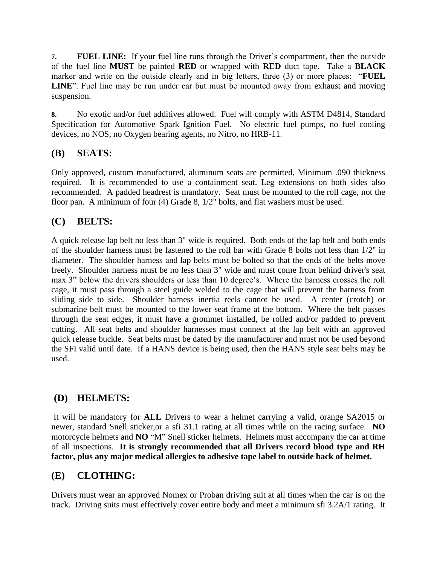**7. FUEL LINE:** If your fuel line runs through the Driver's compartment, then the outside of the fuel line **MUST** be painted **RED** or wrapped with **RED** duct tape. Take a **BLACK** marker and write on the outside clearly and in big letters, three (3) or more places: "**FUEL LINE**". Fuel line may be run under car but must be mounted away from exhaust and moving suspension.

**8.** No exotic and/or fuel additives allowed. Fuel will comply with ASTM D4814, Standard Specification for Automotive Spark Ignition Fuel. No electric fuel pumps, no fuel cooling devices, no NOS, no Oxygen bearing agents, no Nitro, no HRB-11.

#### **(B) SEATS:**

Only approved, custom manufactured, aluminum seats are permitted, Minimum .090 thickness required. It is recommended to use a containment seat. Leg extensions on both sides also recommended. A padded headrest is mandatory. Seat must be mounted to the roll cage, not the floor pan. A minimum of four (4) Grade 8, 1/2" bolts, and flat washers must be used.

#### **(C) BELTS:**

A quick release lap belt no less than 3" wide is required. Both ends of the lap belt and both ends of the shoulder harness must be fastened to the roll bar with Grade 8 bolts not less than 1/2" in diameter. The shoulder harness and lap belts must be bolted so that the ends of the belts move freely. Shoulder harness must be no less than 3" wide and must come from behind driver's seat max 3" below the drivers shoulders or less than 10 degree's. Where the harness crosses the roll cage, it must pass through a steel guide welded to the cage that will prevent the harness from sliding side to side. Shoulder harness inertia reels cannot be used. A center (crotch) or submarine belt must be mounted to the lower seat frame at the bottom. Where the belt passes through the seat edges, it must have a grommet installed, be rolled and/or padded to prevent cutting. All seat belts and shoulder harnesses must connect at the lap belt with an approved quick release buckle. Seat belts must be dated by the manufacturer and must not be used beyond the SFI valid until date. If a HANS device is being used, then the HANS style seat belts may be used.

#### **(D) HELMETS:**

It will be mandatory for **ALL** Drivers to wear a helmet carrying a valid, orange SA2015 or newer, standard Snell sticker,or a sfi 31.1 rating at all times while on the racing surface. **NO** motorcycle helmets and **NO** "M" Snell sticker helmets. Helmets must accompany the car at time of all inspections. **It is strongly recommended that all Drivers record blood type and RH factor, plus any major medical allergies to adhesive tape label to outside back of helmet.** 

#### **(E) CLOTHING:**

Drivers must wear an approved Nomex or Proban driving suit at all times when the car is on the track. Driving suits must effectively cover entire body and meet a minimum sfi 3.2A/1 rating. It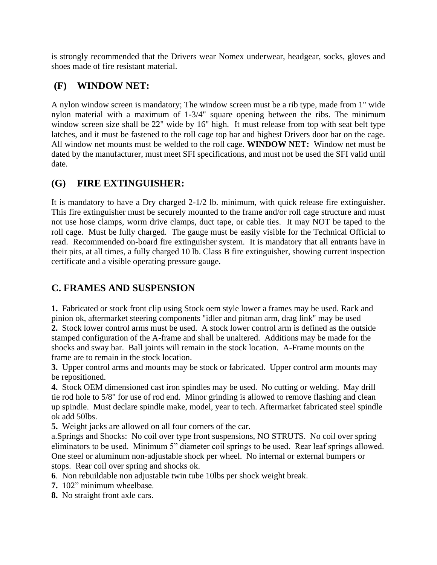is strongly recommended that the Drivers wear Nomex underwear, headgear, socks, gloves and shoes made of fire resistant material.

### **(F) WINDOW NET:**

A nylon window screen is mandatory; The window screen must be a rib type, made from 1" wide nylon material with a maximum of 1-3/4" square opening between the ribs. The minimum window screen size shall be 22" wide by 16" high. It must release from top with seat belt type latches, and it must be fastened to the roll cage top bar and highest Drivers door bar on the cage. All window net mounts must be welded to the roll cage. **WINDOW NET:** Window net must be dated by the manufacturer, must meet SFI specifications, and must not be used the SFI valid until date.

### **(G) FIRE EXTINGUISHER:**

It is mandatory to have a Dry charged 2-1/2 lb. minimum, with quick release fire extinguisher. This fire extinguisher must be securely mounted to the frame and/or roll cage structure and must not use hose clamps, worm drive clamps, duct tape, or cable ties. It may NOT be taped to the roll cage. Must be fully charged. The gauge must be easily visible for the Technical Official to read. Recommended on-board fire extinguisher system. It is mandatory that all entrants have in their pits, at all times, a fully charged 10 lb. Class B fire extinguisher, showing current inspection certificate and a visible operating pressure gauge.

### **C. FRAMES AND SUSPENSION**

**1.** Fabricated or stock front clip using Stock oem style lower a frames may be used. Rack and pinion ok, aftermarket steering components "idler and pitman arm, drag link" may be used **2.** Stock lower control arms must be used. A stock lower control arm is defined as the outside stamped configuration of the A-frame and shall be unaltered. Additions may be made for the shocks and sway bar. Ball joints will remain in the stock location. A-Frame mounts on the frame are to remain in the stock location.

**3.** Upper control arms and mounts may be stock or fabricated. Upper control arm mounts may be repositioned.

**4.** Stock OEM dimensioned cast iron spindles may be used. No cutting or welding. May drill tie rod hole to 5/8" for use of rod end. Minor grinding is allowed to remove flashing and clean up spindle. Must declare spindle make, model, year to tech. Aftermarket fabricated steel spindle ok add 50lbs.

**5.** Weight jacks are allowed on all four corners of the car.

a.Springs and Shocks: No coil over type front suspensions, NO STRUTS. No coil over spring eliminators to be used. Minimum 5" diameter coil springs to be used. Rear leaf springs allowed. One steel or aluminum non-adjustable shock per wheel. No internal or external bumpers or stops. Rear coil over spring and shocks ok.

**6**. Non rebuildable non adjustable twin tube 10lbs per shock weight break.

- **7.** 102" minimum wheelbase.
- **8.** No straight front axle cars.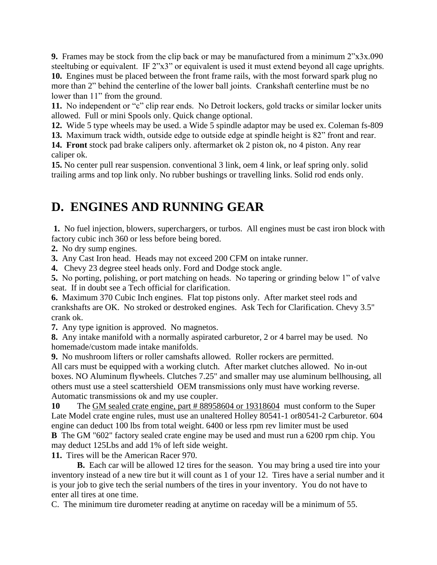**9.** Frames may be stock from the clip back or may be manufactured from a minimum 2"x3x.090 steeltubing or equivalent. IF 2"x3" or equivalent is used it must extend beyond all cage uprights. **10.** Engines must be placed between the front frame rails, with the most forward spark plug no more than 2" behind the centerline of the lower ball joints. Crankshaft centerline must be no lower than 11" from the ground.

**11.** No independent or "c" clip rear ends. No Detroit lockers, gold tracks or similar locker units allowed. Full or mini Spools only. Quick change optional.

**12.** Wide 5 type wheels may be used. a Wide 5 spindle adaptor may be used ex. Coleman fs-809

**13.** Maximum track width, outside edge to outside edge at spindle height is 82" front and rear.

**14. Front** stock pad brake calipers only. aftermarket ok 2 piston ok, no 4 piston. Any rear caliper ok.

**15.** No center pull rear suspension. conventional 3 link, oem 4 link, or leaf spring only. solid trailing arms and top link only. No rubber bushings or travelling links. Solid rod ends only.

### **D. ENGINES AND RUNNING GEAR**

**1.** No fuel injection, blowers, superchargers, or turbos. All engines must be cast iron block with factory cubic inch 360 or less before being bored.

**2.** No dry sump engines.

**3.** Any Cast Iron head. Heads may not exceed 200 CFM on intake runner.

**4.** Chevy 23 degree steel heads only. Ford and Dodge stock angle.

**5.** No porting, polishing, or port matching on heads. No tapering or grinding below 1" of valve seat. If in doubt see a Tech official for clarification.

**6.** Maximum 370 Cubic Inch engines. Flat top pistons only. After market steel rods and crankshafts are OK. No stroked or destroked engines. Ask Tech for Clarification. Chevy 3.5" crank ok.

**7.** Any type ignition is approved. No magnetos.

**8.** Any intake manifold with a normally aspirated carburetor, 2 or 4 barrel may be used. No homemade/custom made intake manifolds.

**9.** No mushroom lifters or roller camshafts allowed. Roller rockers are permitted.

All cars must be equipped with a working clutch. After market clutches allowed. No in-out boxes. NO Aluminum flywheels. Clutches 7.25" and smaller may use aluminum bellhousing, all others must use a steel scattershield OEM transmissions only must have working reverse. Automatic transmissions ok and my use coupler.

**10** The GM sealed crate engine, part # 88958604 or 19318604 must conform to the Super Late Model crate engine rules, must use an unaltered Holley 80541-1 or80541-2 Carburetor. 604 engine can deduct 100 lbs from total weight. 6400 or less rpm rev limiter must be used **B** The GM "602" factory sealed crate engine may be used and must run a 6200 rpm chip. You may deduct 125Lbs and add 1% of left side weight.

**11.** Tires will be the American Racer 970.

**B.** Each car will be allowed 12 tires for the season. You may bring a used tire into your inventory instead of a new tire but it will count as 1 of your 12. Tires have a serial number and it is your job to give tech the serial numbers of the tires in your inventory. You do not have to enter all tires at one time.

C. The minimum tire durometer reading at anytime on raceday will be a minimum of 55.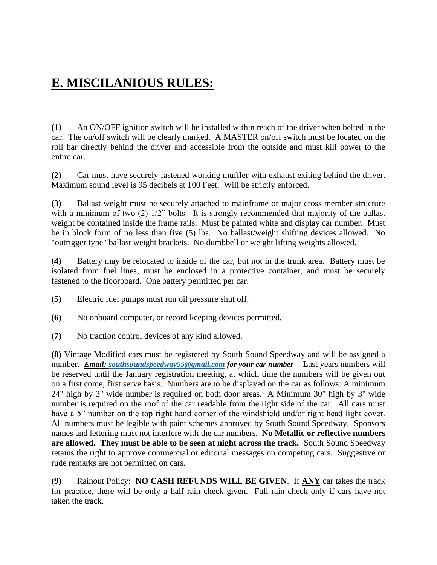# **E. MISCILANIOUS RULES:**

**(1)** An ON/OFF ignition switch will be installed within reach of the driver when belted in the car. The on/off switch will be clearly marked. A MASTER on/off switch must be located on the roll bar directly behind the driver and accessible from the outside and must kill power to the entire car.

**(2)** Car must have securely fastened working muffler with exhaust exiting behind the driver. Maximum sound level is 95 decibels at 100 Feet. Will be strictly enforced.

**(3)** Ballast weight must be securely attached to mainframe or major cross member structure with a minimum of two (2)  $1/2$ " bolts. It is strongly recommended that majority of the ballast weight be contained inside the frame rails. Must be painted white and display car number. Must be in block form of no less than five (5) lbs. No ballast/weight shifting devices allowed. No "outrigger type" ballast weight brackets. No dumbbell or weight lifting weights allowed.

**(4)** Battery may be relocated to inside of the car, but not in the trunk area. Battery must be isolated from fuel lines, must be enclosed in a protective container, and must be securely fastened to the floorboard. One battery permitted per car.

- **(5)** Electric fuel pumps must run oil pressure shut off.
- **(6)** No onboard computer, or record keeping devices permitted.
- **(7)** No traction control devices of any kind allowed.

**(8)** Vintage Modified cars must be registered by South Sound Speedway and will be assigned a number. *Email: [southsoundspeedway55@gmail.com](mailto:southsoundspeedway55@gmail.com) for your car number* Last years numbers will be reserved until the January registration meeting, at which time the numbers will be given out on a first come, first serve basis. Numbers are to be displayed on the car as follows: A minimum 24" high by 3" wide number is required on both door areas. A Minimum 30" high by 3" wide number is required on the roof of the car readable from the right side of the car. All cars must have a 5" number on the top right hand corner of the windshield and/or right head light cover. All numbers must be legible with paint schemes approved by South Sound Speedway. Sponsors names and lettering must not interfere with the car numbers. **No Metallic or reflective numbers are allowed. They must be able to be seen at night across the track.** South Sound Speedway retains the right to approve commercial or editorial messages on competing cars. Suggestive or rude remarks are not permitted on cars.

**(9)** Rainout Policy: **NO CASH REFUNDS WILL BE GIVEN**. If **ANY** car takes the track for practice, there will be only a half rain check given. Full rain check only if cars have not taken the track.